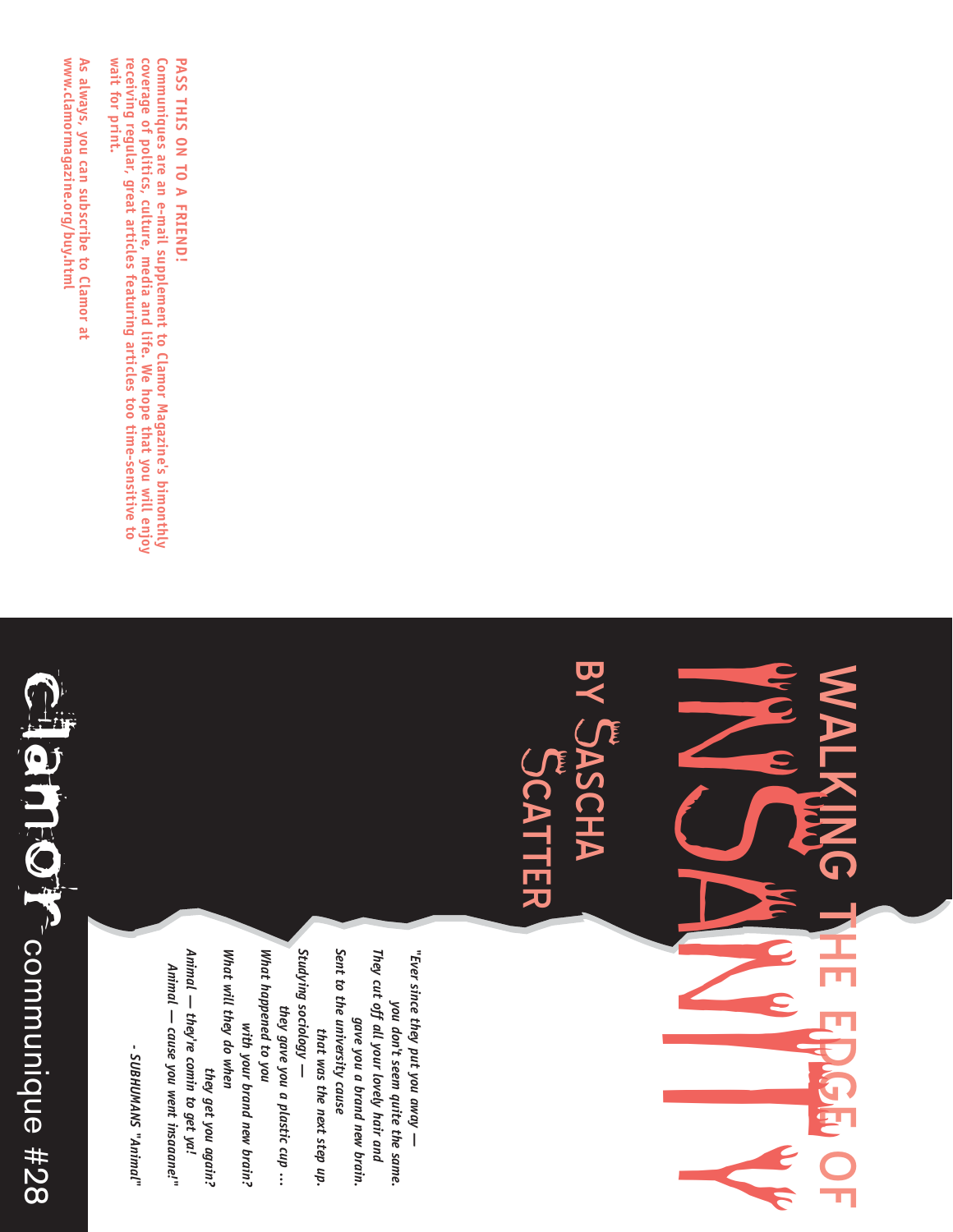## CLOTE communique #28 communique #28

- SUBHUMANS "Animal" *- SUBHUMANS "Animal"*

Studying sociology -Animal - they're comin to get ya! What will they do when What happened to you *Animal — they're comin to get ya! Studying sociology — What will they do when What happened to you*  Animal - cause you went insaaane!" *Animal — cause you went insaaane!"* they gave you a plastic cup ... *they gave you a plastic cup …* with your brand new brain? *with your brand new brain?* they get you again? *they get you again?*

Sent to the university cause They cut off all your lovely hair and *Sent to the university cause They cut off all your lovely hair and*  you don't seem quite the same. *you don't seem quite the same.* gave you a brand new brain. *gave you a brand new brain.*

*that was the next step up.*

that was the next step up.

"Ever since they put you away *"Ever since they put you away —* 

**STE** ASCHA CATTER

B<br>人 **STE**  **INSTERN** 

WALKING THE EDGE OF

www.clamormagazine.org/buy.html As always, you can subscribe to Clamor at **www.clamormagazine.org/buy.html As always, you can subscribe to Clamor at** wait for print. receiving regular, great articles featuring articles too time-sensitive to coverage of politics, culture, media and life. We hope that you will enjoy Communiques are an e-mail supplement to Clamor Magazine's bimonthly **wait for print. coverage of politics, culture, media and life. We hope that you will enjoy Communiques are an e-mail supplement to Clamor Magazine's bimonthly eceiving regular, great articles featuring articles too time-sensitive to**

PASS THIS ON TO A FRIEND! **PASS THIS ON TO A FRIEND!**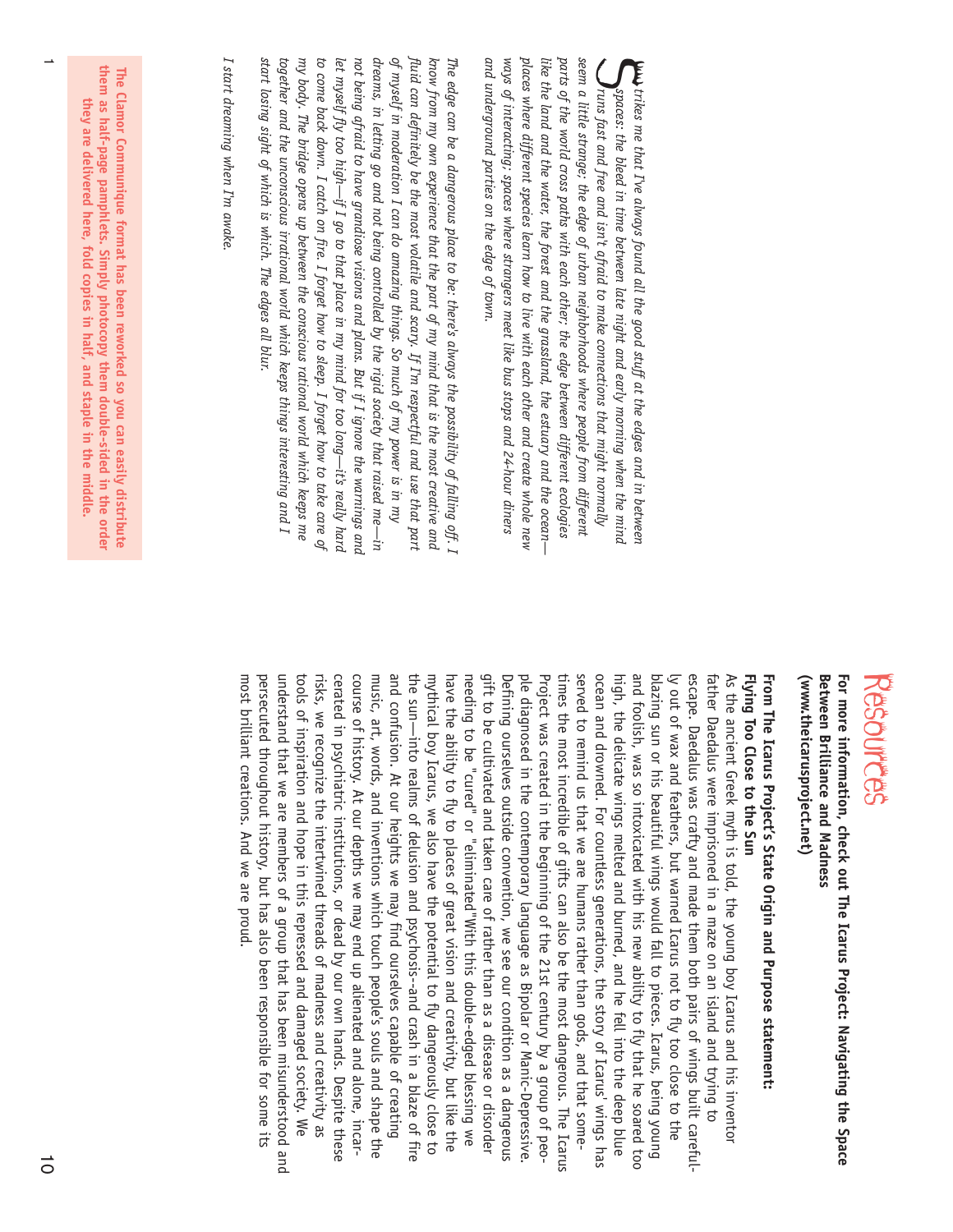them as half-page pamphlets. Simply photocopy them double-sided in the order **them as half-page pamphlets. Simply photocopy them double-sided in the order** The Clamor Communique format has been reworked so you can easily distribute **The Clamor Communique format has been reworked so you can easily distribute** they are delivered here, fold copies in half, and staple in the middle. **they are delivered here, fold copies in half, and staple in the middle.**

and underground parties on the edge of town. ways of interacting; spaces where strangers meet like bus stops and 24-hour diners places where different species learn how to live with each other and create whole new like the land and the water, the forest and the grassland, the estuary and the oceanparts of the world cross paths with each other; the edge between different ecologies seem a little strange; the edge of urban neighborhoods where people from different *places where different species learn how to live with each other and create whole new parts of the world cross paths with each other; the edge between different ecologies and underground parties on the edge of town. like the land and the water, the forest and the grassland, the estuary and the ocean seem a little strange; the edge of urban neighborhoods where people from different* All trikes me that I've always found all the good stuff at the edges and in between spaces: the bleed in time between late night and early morning when the mind spaces: the bleed in time between late night and early morni *ays of interacting; spaces where strangers meet like bus stops and 24-hour diners* trikes me that I've always found all the good stuff at the edges and in between<br>spaces: the bleed in time between late night and early morning when the mind<br>runs fast and free and isn't afraid to make connections that migh

my body. The bridge opens up between the conscious rational world which keeps me to come back down. I catch on fire. I forget how to sleep. I forget how to take care of let myself fly too high $-i$ f I go to that place in my mind for too long $-i$ t's really hard *not being afraid to have grandiose visions and plans. But if I ignore the warnings and* dreams, in letting go and not being controlled by the rigid society that raised me—in of myself in moderation I can do amazing things. So much of my power is in my fluid can definitely be the most volatile and scary. If I'm respectful and use that part know from my own experience that the part of my mind that is the most creative and start losing sight of which is which. The edges all blur. together and the unconscious irrational world which keeps things interesting and I *fluid can definitely be the most volatile and scary. If I'm respectful and use that part* The edge can be a dangerous place to be: there's always the possibility of falling off. 1 *start losing sight of which is which. The edges all blur. together and the unconscious irrational world which keeps things interesting and I my body. The bridge opens up between the conscious rational world which keeps me to come back down. I catch on fire. I forget how to sleep. I forget how to take care of let myself fly too high—if I go to that place in my mind for too long—it's really hard dreams, in letting go and not being controlled by the rigid society that raised me—in know from my own experience that the part of my mind that is the most creative and The edge can be a dangerous place to be: there's always the possibility of falling off. I t being afraid to have grandiose visions and plans. But if I ignore the warnings and myself in moderation I can do amazing things. So much of my power is in my*

I start dreaming when I'm awake *I start dreaming when I'm awake.* 

## **KGSOUrces**

**Between Brilliance and Madness** For more information, check out The Icarus Project: Navigating the Space **Between Brilliance and Madness or more information, check out The Icarus Project: Navigating the Space**

(www.theicarusproject.net) **(www.theicarusproject.net)** 

## Flying Too Close to the Sun From The Icarus Project's State Origin and Purpose statement **Flying Too Close to the Sun From The Icarus Project's State Origin and Purpose statement:**

and confusion. At our heights we may find ourselves capable of creating music, art, words, and inventions which touch people's souls and shape the mythical boy Icarus, we also have the potential to fly dangerously close to gift to be cultivated and taken care of rather than as a disease or disorder ple diagnosed in the contemporary language as Bipolar or Manic-Depressive. Project was created in the beginning of the 21st century by a group of peoserved to remind us that we are humans rather than gods, and that someocean and drowned. For countless generations, the story of Icarus' wings has high, the delicate wings melted and burned, and he fell into the deep blue and foolish, was so intoxicated with his new ability to fly that he soared too blazing sun or his beautiful wings would fall to pieces. Icarus, being young escape. Daedalus was crafty and made them both pairs of wings built carefulmost brilliant creations. And we are proud. persecuted throughout history, but has also been responsible for some its understand that we are members of a group that has been misunderstood and tools of inspiration and hope in this repressed and damaged society. We risks, we recognize the intertwined threads of madness and creativity as cerated in psychiatric institutions, or dead by our own hands. Despite these course of history. At our depths we may end up alienated and alone, incarthe sun-into realms of delusion and psychosis--and crash in a blaze of fire have the ability to fly to places of great vision and creativity, but like the needing to be "cured" or "eliminated"With this double-edged blessing we Defining ourselves outside convention, we see our condition as a dangerous times the most incredible of gifts can also be the most dangerous. The Icarus ly out of wax and feathers, but warned Icarus not to fly too close to the father Daedalus were imprisoned in a maze on an island and trying As the ancient Greek myth is told, the young boy Icarus and his inventor persecuted throughout history, but has also been responsible for some its understand that we are members of a group that has been misunderstood and tools of inspiration and hope in this repressed and damaged society. We risks, we recognize the intertwined threads of madness and creativity as cerated in psychiatric institutions, or dead by our own hands. Despite these course of history. At our depths we may end up alienated and alone, incarand confusion. At our heights we may find ourselves capable of creating the sun—into realms of delusion and psychosis--and crash in a blaze of fire have the ability to fly to places of great vision and creativity, but like the gift to be cultivated and taken care of rather than as a disease or disorder Defining ourselves outside convention, we see our condition as a dangerous ple diagnosed in the contemporary language as Bipolar or Manic-Depressive. Project was created in the beginning of the 21st century by a group of peotimes the most incredible of gifts can also be the most dangerous. The Icarus served to remind us that we are humans rather than gods, and that someocean and drowned. For countless generations, the story of Icarus' wings has high, the delicate wings melted and burned, and he fell into the deep blue and foolish, was so intoxicated with his new ability to fly that he soared too blazing sun or his beautiful wings would fall to pieces. Icarus, being young ly out of wax and feathers, but warned Icarus not to fly too close to the escape. Daedalus was crafty and made them both pairs of wings built carefulfather Daedalus were imprisoned in a maze on an island and trying to eeding to be "cured" or "eliminated"With this double-edged blessing we ost brilliant creations. And we are proud.ythical boy Icarus, we also have the potential to fly dangerously close to usic, art, words, and inventions which touch people's souls and shape the the ancient Greek myth is told, the young boy Icarus and his inventor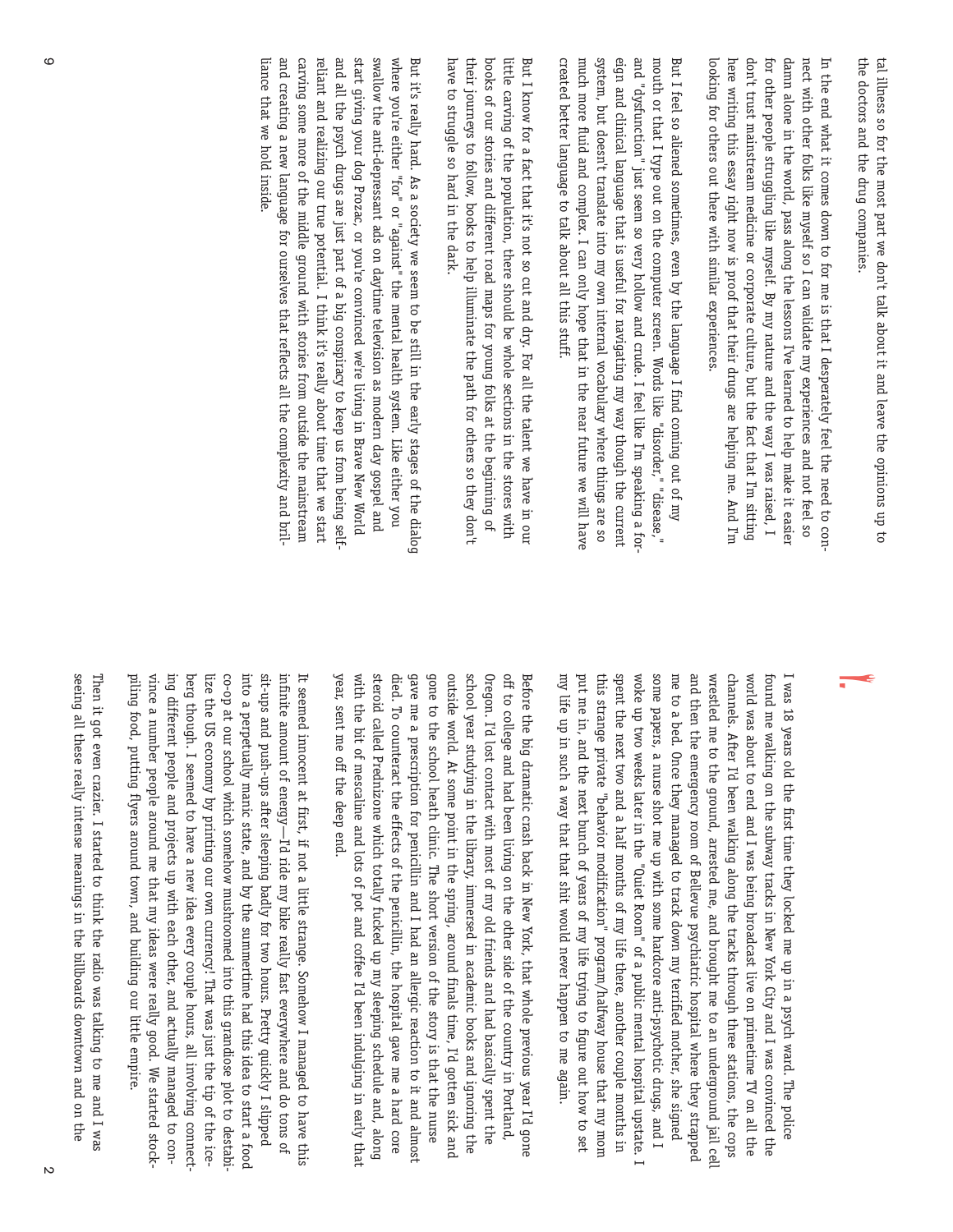| sit-ups and push-ups after sleeping badly for two hours. Pretty quickly I slipped<br>vince a number people around me that my ideas were really good. We started stock-<br>ing different people and projects up with each other, and actually managed to con-<br>co-op at our school which somehow mushroomed into this grandiose plot to destabi-<br>into a perpetually manic state, and by the summertime had this idea to start a food<br>piling food, putting flyers around town, and building our little empire.<br>berg though. I seemed to have a new idea every couple hours, all involving connect-<br>lize the US economy by printing our own currency! That was just the tip of the ice- |
|----------------------------------------------------------------------------------------------------------------------------------------------------------------------------------------------------------------------------------------------------------------------------------------------------------------------------------------------------------------------------------------------------------------------------------------------------------------------------------------------------------------------------------------------------------------------------------------------------------------------------------------------------------------------------------------------------|
| Then it got even crazier. I started to think the radio was talking to me and I was                                                                                                                                                                                                                                                                                                                                                                                                                                                                                                                                                                                                                 |
|                                                                                                                                                                                                                                                                                                                                                                                                                                                                                                                                                                                                                                                                                                    |
|                                                                                                                                                                                                                                                                                                                                                                                                                                                                                                                                                                                                                                                                                                    |

seeing all these really intense meanings in the billboards downtown and on the Then it got even crazier. I seeing all these really intense meanings in the billboards downtown and on the Then it got even crazier. I started to think the radio was talking to me and I was the doctors and the drug companies. tal illness so for the most part we don't talk about it and leave the opinions up to the doctors and the drug companies. tal illness so for the most part we don't talk about it and leave the opinions up to

here writing this essay right now is proof that their drugs are helping me. And I'm don't trust mainstream medicine or corporate culture, but the fact that I'm sitting damn alone in the world, pass along the lessons I've learned to help make it easier nect with other folks like myself so I can validate my experiences and not feel so In the end what it comes down to for me is that I desperately feel the need to looking for others out there with similar experiences. for other people struggling like myself. By my nature and the way I was raised, I don't trust mainstream medicine or corporate culture, but the fact that I'm sitting damn alone in the world, pass along the lessons I've learned to help make it easier In the end what it comes down to for me is that I desperately feel the need to conooking for others out there with similar experiences. or other people struggling like myself. By my nature and the way I was raised, I ect with other folks like myself so I can validate my experiences and not feel so writing this essay right now is proof that their drugs are helping me. And I'm uop

created better language to talk about all this stuff. much more fluid and complex. I can only hope that in the near future we will have system, but doesn't translate into my own internal vocabulary where things are so eign and clinical language that is useful for navigating my way though the current and "dysfunction" just seem so very hollow and crude. I feel like I'm speaking a for mouth or that I type out on the computer screen. Words like "disorder," "disease," But I feel so aliened sometimes, even by the language I find coming out of my created better language to talk about all this stuff. much more fluid and complex. I can only hope that in the near future we will have eign and clinical language that is useful for navigating my way though the current and "dysfunction" just seem so very hollow and crude. I feel like I'm speaking a for-But I feel so aliened sometimes, even by the language I find coming out of my outh or that I type out on the computer screen. Words like "disorder," "disease," stem, but doesn't translate into my own internal vocabulary where things are so

have to struggle so hard in the dark their journeys to follow, books to help illuminate the path for others so they don't books of our stories and different road maps for young folks at the beginning of But I know for a fact that it's not so cut and dry. For all the talent we have in ou little carving of the population, there should be whole sections in the stores with have to struggle so hard in the dark. their journeys to follow, books to help illuminate the path for others so they don't books of our stories and different road maps for young folks at the beginning of little carving of the population, there should be whole sections in the stores with But I know for a fact that it's not so cut and dry. For all the talent we have in our

and creating a new language for ourselves that reflects all the complexity and brilcarving some more of the middle ground with stories from outside the mainstream and all the psych drugs are just part of a big conspiracy to keep us from being selfstart giving your dog Prozac, or you're convinced we're living in Brave New World swallow the anti-depressant ads on daytime television as modern day gospel and where you're either "for" or "against" the mental health system. Like either you But it's really hard. As a society we seem to be still in the early stages of the dialog liance that we hold inside. reliant and realizing our true potential. I think it's really about time that we start liance that we hold inside. and creating a new language for ourselves that reflects all the complexity and brilcarving some more of the middle ground with stories from outside the mainstreamand all the psych drugs are just part of a big conspiracy to keep us from being selfstart giving your dog Prozac, or you're convinced we're living in Brave New World swallow the anti-depressant ads on daytime television as modern day gospel and where you're either "for" or "against" the mental health system. Like either you But it's really hard. As a society we seem to be still in the early stages of the dialog liant and realizing our true potential. I think it's really about time that we start

and then the emergency room of Bellevue psychiatric hospital where they strapped my life up in such a way that that shit would never happen to me again. put me in, and the next bunch of years of my life trying to figure out how to set spent the next two and a half months of my life there, another couple months in some papers, a nurse shot me up with some hardcore anti-psychotic drugs, and I wrestled me to the ground, arrested me, and brought me to an underground jail cell world was about to end and I was being broadcast live on primetime IV on all the I was 18 years old the first time they locked me up in a psych ward. The police this strange private "behavior modification" program/halfway house that my mom channels. After I'd been walking along the tracks through three stations, the cops found me walking on the subway tracks in New York City and I was convinced the put me in, and the next bunch of years of my life trying to figure out how to set this strange private "behavior modification" program/halfway house that my mom spent the next two and a half months of my life there, another couple months in wo some papers, a nurse shot me up with some hardcore anti-psychotic drugs, and I me and then the emergency room of Bellevue psychiatric hospital where they strapped wrestled me to the ground, arrested me, and brought me to an underground jail cell channels. After I'd been walking along the tracks through three stations, the cops I was 18 years old the first time they locked me up in a psych ward. The police ound me walking on the subway tracks in New York City and I was convinced the orld was about to end and I was being broadcast live on primetime TV on all the ke life up in such a way that that shit would never happen to me again. to up two weeks later in the "Quiet Room" of a public mental hospital upstate. I a bed. Once they managed to track down my terrified mother, she signed

year, sent me off the deep end. steroid called Prednizone which totally fucked up my sleeping schedule and, along died. To counteract the effects of the penicillin, the hospital gave me a hard core gave me a prescription for penicillin and I had an allergic reaction to it and almost outside world. At some point in the spring, around finals time, I'd gotten sick and school year studying in the library, immersed in academic books and ignoring the Oregon. I'd lost contact with most of my old friends and had basically spent the off to college and had been living on the other side of the country in Portland Before the big dramatic crash back in New York, that whole previous year I'd gone with the bit of mescaline and lots of pot and coffee I'd been indulging in early that with the bit of mescaline and lots of pot and coffee I'd been indulging in early that steroid called Prednizone which totally fucked up my sleeping schedule and, along died. To counteract the effects of the penicillin, the hospital gave me a hard core gave me a prescription for penicillin and I had an allergic reaction to it and almost go outside world. At some point in the spring, around finals time, I'd gotten sick and school year studying in the library, immersed in academic books and ignoring the Oregon. I'd lost contact with most of my old friends and had basically spent the Before the big dramatic crash back in New York, that whole previous year I'd gone ear, sent me off the deep end. ff to college and had been living on the other side of the country in Portland, ne to the school heath clinic. The short version of the story is that the nurse

It seemed innocent at first, if not a little strange. Somehow I managed to have this seemed innocent at first, if not a little strange. Somehow I managed to have this

sit-ups and push-ups after sleeping badly for two hours. Pretty quickly I slipped infinite amount of energy—I'd ride my bike really fast everywhere and do tons of

infinite amount of energy—I'd ride my bike really fast everywhere and do tons of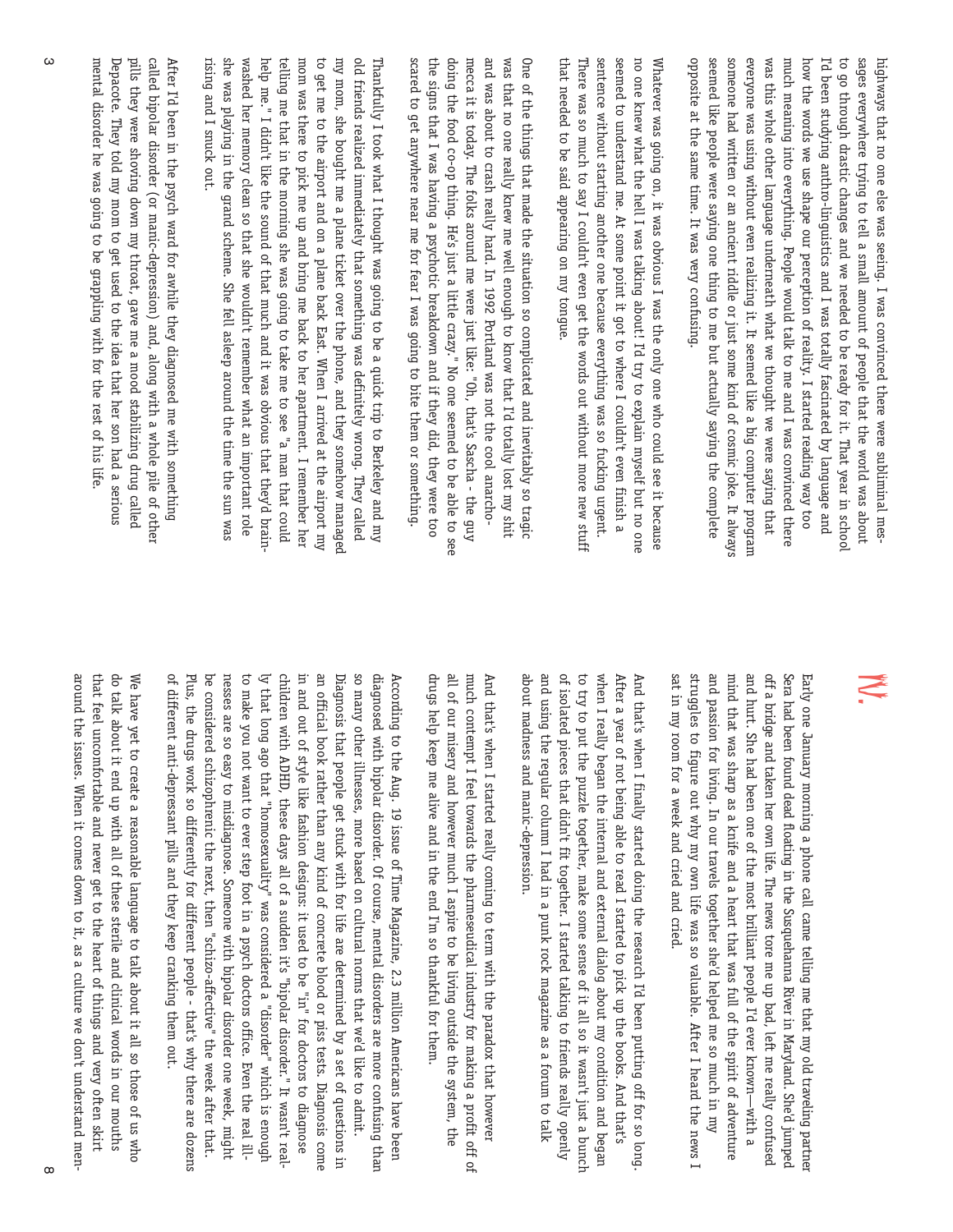| ထ                                                                                                                                                                       |                                                                                    |
|-------------------------------------------------------------------------------------------------------------------------------------------------------------------------|------------------------------------------------------------------------------------|
| around the issues. When it comes down to it, as a culture we don't understand men-<br>that feel uncomfortable and never get to the heart of things and very often skirt | ling with for the rest of his life.                                                |
| do talk about it end up with all of these sterile and clinical words in our mouths                                                                                      | to the idea that her son had a serious                                             |
| We have yet to create a reasonable language to talk about it all so those of us who                                                                                     | gave me a mood stabilizing drug called                                             |
|                                                                                                                                                                         | on) and, along with a whole pile of other                                          |
| of different anti-depressant pills and they keep cranking them out.<br>Plus, the drugs work so differently for different people - that's why there are dozens           | e they diagnosed me with something                                                 |
| be considered schizophrenic the next, then "schizo-affective" the week after that.                                                                                      |                                                                                    |
| nesses are so easy to misdiagnose. Someone with bipolar disorder one week, might                                                                                        | fell asleep around the time the sun was                                            |
| to make you not want to ever step foot in a psych doctors office. Even the real ill-                                                                                    | ildn't remember what an important role                                             |
| ly that long ago that "homosexuality" was considered a<br>"disorder" which is enough                                                                                    | nuch and it was obvious that they'd brain-                                         |
| children with ADHD, these days all of a sudden it's "bipolar disorder." It wasn't real-                                                                                 | bing to take me to see "a man that could                                           |
| in and out of style like fashion designs: it used to be "in" for doctors to diagnose                                                                                    | ne back to her apartment. I remember her                                           |
| an official book rather than any kind of concrete blood<br>or piss tests. Diagnosis come                                                                                | ack East. When I arrived at the airport my                                         |
| Diagnosis that people get stuck with for life are determined by a set of questions in                                                                                   | rer the phone, and they somehow managed                                            |
| so many other illnesses, more based on cultural norms that we'd like to admit.                                                                                          | ething was definitely wrong. They called                                           |
| diagnosed with bipolar disorder. Of course, mental disorders are more confusing than                                                                                    | ng to be a quick trip to Berkeley and my                                           |
| According to the Aug. 19 issue of Time Magazine, 2.3 million Americans have been                                                                                        |                                                                                    |
|                                                                                                                                                                         | was going to bite them or something                                                |
| drugs help keep me alive and in the end I'm so thankful<br>for them.                                                                                                    | reakdown and if they did, they were too                                            |
| all of our misery and however much I aspire to be living<br>outside the system, the                                                                                     | tle crazy." No one seemed to be able to see                                        |
| much contempt I feel towards the pharmeseudical industry for making a profit off of                                                                                     | inst like: "Oh, that's Sascha - the guy                                            |
| And that's when I started really coming to term with the paradox that however                                                                                           | 92 Portland was not the cool anarcho-                                              |
|                                                                                                                                                                         | 1gh to know that I'd totally lost my shit                                          |
| about madness and manic-depression.                                                                                                                                     | so complicated and inevitably so tragic                                            |
| and using the regular column I had in a punk rock magazine as a forum to talk                                                                                           |                                                                                    |
| of isolated pieces that didn't fit together. I started talking to friends really openly                                                                                 | orngue                                                                             |
| to try to put the puzzle together, make some sense of it all so it wasn't just a bunch                                                                                  | get the words out without more new stuff                                           |
| when I really began the internal and external dialog about my condition and began                                                                                       | cause everything was so fucking urgent.                                            |
| After a year of not being able to read I started to pick up the books. And that's                                                                                       | it got to where I couldn't even finish a                                           |
| And that's when I finally started doing the research I'd<br>been putting off for so long.                                                                               | about! I'd try to explain myself but no one<br>ומה הזרה הזור הזרה וזדוח הממירה המו |

## IV.

Early one January morning a phone call came telling me

off a bridge and taken her own life. The news tore me up bad, left me really confused Sera had been found dead floating in the Susquehanna River in Maryland. She'd jumped ff a bridge and taken her own life. The news tore me up bad, left me really confused

Sera had been found dead floating in the Susquehanna River in Maryland. She'd jumped Early one January morning a phone call came telling me that my old traveling partner

sat in my room for a week and cried and cried.

sat in my room for a week and cried and cried.

struggles to figure out why my own life was so valuable. After I heard the news I and passion for living. In our travels together she'd helped me so much in my mind that was sharp as a knife and a heart that was full of the spirit of adventure and hurt. She had been one of the most brilliant people I'd ever known—with a

struggles to figure out why my own life was so valuable. After I heard the news I and passion for living. In our travels together she'd helped me so much in my mind that was sharp as a knife and a heart that was full of the spirit of adventure and hurt. She had been one of the most brilliant people I'd ever known-with a

that my old traveling partner

opposite at the same time. It was very confusing. seemed like people were saying one thing to me but actually saying the complete someone had written or an ancient riddle or just some kind of cosmic joke. It always everyone was using without even realizing it. It seemed like a big computer program was this whole other language underneath what we thought we were saying that much meaning into everything. People would talk to me and I was convinced there how the words we use shape our perception of reality. I started reading way too I'd been studying anthro-linguistics and I was totally fascinated by language and sages everywhere trying to tell a small amount of people that the world was about highways that no one else was seeing. I was convinced there were subliminal mesopposite at the same time. It was very confusing. seemed like people were saying one thing to me but actually saying the complete someone had written or an ancient riddle or just some kind of cosmic joke. It always everyone was using without even realizing it. It seemed like a big computer program was this whole other language underneath what we thought we were saying that much meaning into everything. People would talk to me and I was convinced there I'd been studying anthro-linguistics and I was totally fascinated by language and to sages everywhere trying to tell a small amount of people that the world was about highways that no one else was seeing. I was convinced there were subliminal mesw the words we use shape our perception of reality. I started reading way too go through drastic changes and we needed to be ready for it. That year in school

that needed to be said appearing on my t There was so much to say I couldn't even sentence without starting another one be seemed to understand me. At some point no one knew what the hell I was talking Whatever was going on, it was obvious I was the only one who could see it because that needed to be said appearing on my tongue. There was so much to say I couldn't even get the words out without more new stuff sentence without starting another one because everything was so fucking urgent. seemed to understand me. At some point it got to where I couldn't even finish a Whatever was going on, it was obvious I was the only one who could see it because one knew what the hell I was talking about! I'd try to explain myself but no one

scared to get anywhere near me for fear I doing the food co-op thing. He's just a lit mecca it is today. The folks around me we and was about to crash really hard. In 19 was that no one really knew me well eno One of the things that made the situation the signs that I was having a psychotic b: scared to get anywhere near me for fear I was going to bite them or something. the signs that I was having a psychotic breakdown and if they did, they were too doing the food co-op thing. He's just a little crazy." No one seemed to be able to see and was about to crash really hard. In 1992 Portland was not the cool anarcho-One of the things that made the situation so complicated and inevitably so tragic as that no one really knew me well enough to know that I'd totally lost my shit cca it is today. The folks around me were just like: "Oh, that's Sascha - the guy

she was playing in the grand scheme. She washed her memory clean so that she wo help me." I didn't like the sound of that r telling me that in the morning she was go mom was there to pick me up and bring n my mom, she bought me a plane ticket or old friends realized immediately that som Thankfully I took what I thought was goi rising and I snuck out. to get me to the airport and on a plane b rising and I snuck out. she was playing in the grand scheme. She fell asleep around the time the sun was washed her memory clean so that she wouldn't remember what an important role telling me that in the morning she was going to take me to see "a man that could mom was there to pick me up and bring me back to her apartment. I remember her old friends realized immediately that something was definitely wrong. They called Thankfully I took what I thought was going to be a quick trip to Berkeley and my elp me." I didn't like the sound of that much and it was obvious that they'd brainget me to the airport and on a plane back East. When I arrived at the airport my mom, she bought me a plane ticket over the phone, and they somehow managed

pills they were shoving down my throat, called bipolar disorder (or manic-depressio After I'd been in the psych ward for awhi mental disorder he was going to be grapp Depacote. They told my mom to get used Depacote. They told my mom to get used to the idea that her son had a serious pills they were shoving down my throat, gave me a mood stabilizing drug called called bipolar disorder (or manic-depression) and, along with a whole pile of other After I'd been in the psych ward for awhile they diagnosed me with something ntal disorder he was going to be grappling with for the rest of his life.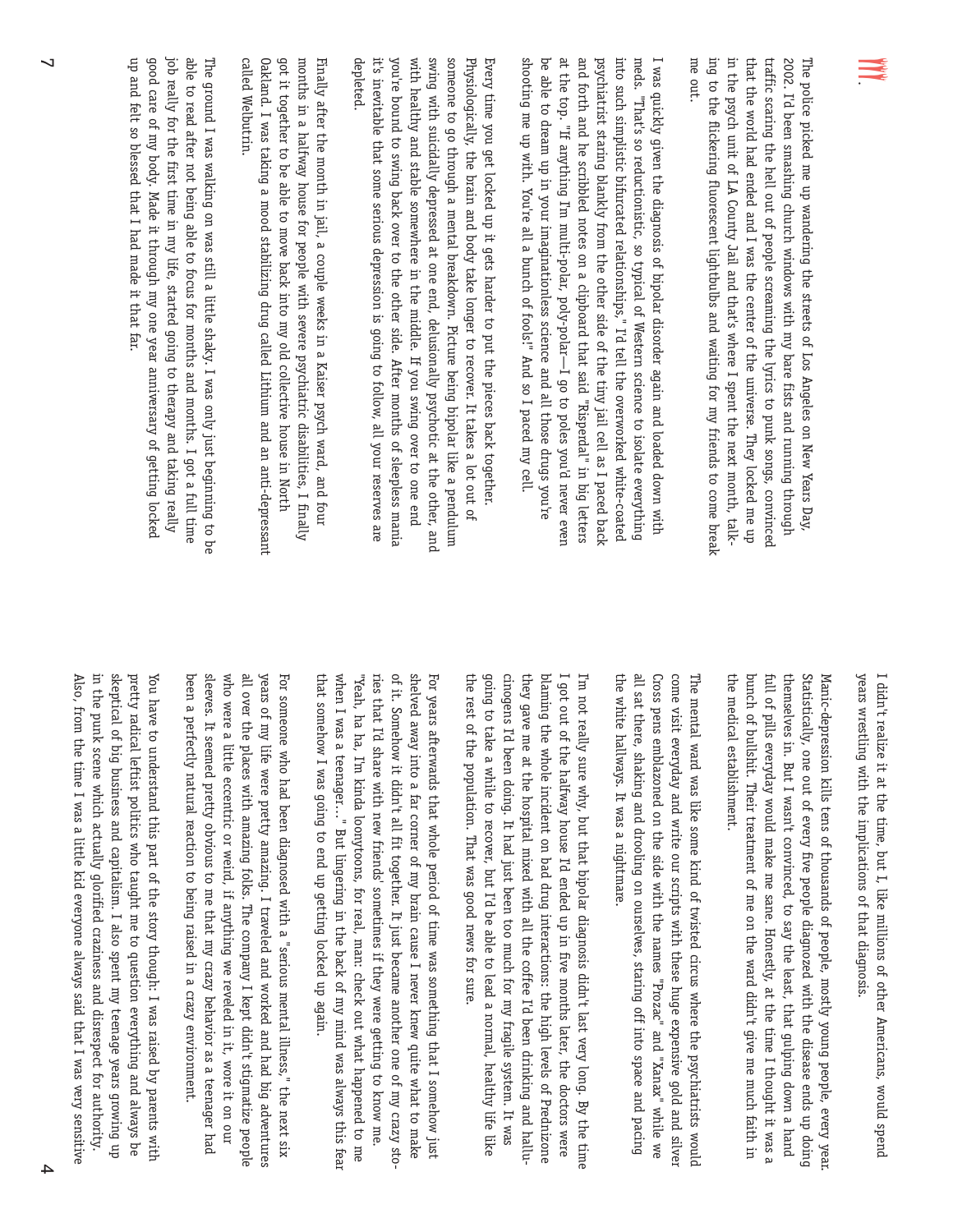| Also, from the time I was a little kid everyone always said that I was very sensitive  |                                                                                                                                                                          |
|----------------------------------------------------------------------------------------|--------------------------------------------------------------------------------------------------------------------------------------------------------------------------|
| in the punk scene which actually glorified craziness and disrespect for authority.     |                                                                                                                                                                          |
| skeptical of big business and capitalism. I also spent my teenage years growing up     |                                                                                                                                                                          |
| pretty radical leftist politics who taught me to question everything and always be     | up and felt so blessed that I had made it that far.                                                                                                                      |
| You have to understand this part of the story though: I was raised by parents with     | job really for the first time in my life, started going to therapy and taking really<br>good care of my body. Made it through my one year anniversary of getting locked  |
| been a perfectly natural reaction to being raised in a crazy environment               | able to read after not being able to focus for months and months. I got a full time                                                                                      |
| sleeves.<br>It seemed pretty obvious to me that my crazy behavior as a teenager had    | The ground I was walking on was still a little shaky. I was only just beginning to be                                                                                    |
| who were a little eccentric or weird, if anything we reveled in it, wore it on our     |                                                                                                                                                                          |
| all over the places with amazing folks. The company I kept didn't stigmatize people    | called Welbutrin.                                                                                                                                                        |
| years of my life were pretty amazing. I traveled and worked and had big adventures     | Oakland. I was taking a mood stabilizing drug called Lithium and an anti-depressant                                                                                      |
| For someone who had been diagnosed with a "serious mental illness," the next six       | got it together to be able to move back into my old collective house in North                                                                                            |
| that somehow I was going to end up getting locked up again.                            | months in a halfway house for people with severe psychiatric disabilities, I finally<br>Finally after the month in jail, a couple weeks in a Kaiser psych ward, and four |
| when I was a teenager" But lingering in the back of my mind was always this fear       |                                                                                                                                                                          |
| "Yeah, ha ha, I'm kinda loonytoons, for real, man: check out what happened to me       | depleted.                                                                                                                                                                |
| ries that I'd share with new friends' sometimes if they were getting to know me        | it's inevitable that some serious depression is going to follow, all your reserves are                                                                                   |
| of it. Somehow it didn't all fit together. It just became another one of my crazy sto- | you're bound to swing back over to the other side. After months of sleepless mania                                                                                       |
| shelved away into a far corner of my brain cause I never knew quite what to make       | with healthy and stable somewhere in the middle. If you swing over to one end                                                                                            |
| For years afterwards that whole period of time was something that I somehow just       | swing with suicidally depressed at one end, delusionally psychotic at the other, and                                                                                     |
|                                                                                        | someone to go through a mental breakdown. Picture being bipolar like a pendulum                                                                                          |
| the rest<br>of the population. That was good news for sure.                            | Physiologically, the brain and body take longer to recover. It takes a lot out of                                                                                        |
| going to take a while to recover, but I'd be able to lead a normal, healthy life like  | Every time you get locked up it gets harder to put the pieces back together.                                                                                             |
| cinogens I'd been doing. It had just been too much for my fragile system. It was       |                                                                                                                                                                          |
| they gave me at the hospital mixed with all the coffee I'd been drinking and hallu-    | shooting me up with. You're all a bunch of fools!" And so I paced my cell.                                                                                               |
| blaming<br>the whole incident on bad drug interactions: the high levels of Prednizone  | be able to dream up in your imaginationless science and all those drugs you're                                                                                           |
| I got out of the halfway house I'd ended up in five months later, the doctors were     | at the top. "If anything I'm multi-polar, poly-polar—I go to poles you'd never even                                                                                      |
| I'm not really sure why, but that bipolar diagnosis didn't last very long. By the time | and forth and he scribbled notes on a clipboard that said "Risperdal" in big letters                                                                                     |
|                                                                                        | psychiatrist staring blankly from the other side of the tiny jail cell as I paced back                                                                                   |
| the white hallways. It was a nightmare.                                                | into such simplistic bifurcated relationships," I'd tell the overworked white-coated                                                                                     |
| all sat there, shaking and drooling on ourselves, staring off into space and pacing    | meds. "That's so reductionistic, so typical of Western science to isolate everything                                                                                     |
| Gross pens emblazoned on the side with the names "Prozac" and "Xanax" while we         | I was quickly given the diagnosis of bipolar disorder again and loaded down with                                                                                         |
| come visit everyday and write our scripts with these huge expensive gold and silver    |                                                                                                                                                                          |
| The mental ward was like some kind of twisted circus where the psychiatrists would     | me out.                                                                                                                                                                  |
|                                                                                        | ing to the flickering fluorescent lightbulbs and waiting for my friends to come break                                                                                    |
| the medical establishment.                                                             | in the psych unit of LA County Jail and that's where I spent the next month, talk-                                                                                       |
| bunch of bullshit. Their treatment of me on the ward didn't give me much faith in      | that the world had ended and I was the center of the universe. They locked me up                                                                                         |
| full of pills everyday would make me sane. Honestly, at the time I thought it was a    | traffic scaring the hell out of people screaming the lyrics to punk songs, convinced                                                                                     |
| themselves in. But I wasn't convinced, to say the least, that gulping down a hand      | 2002. I'd been smashing church windows with my bare fists and running through                                                                                            |
| Statistically, one out of every five people diagnozed with the disease ends up doing   | The police picked me up wandering the streets of Los Angeles on New Years Day,                                                                                           |
| Manic-depression kills tens of thousands of people, mostly young people, every year    |                                                                                                                                                                          |
| years wrestling with the implications of that diagnosis.                               |                                                                                                                                                                          |
| I didn't realize it at the time, but I, like millions of other Americans, would spend  |                                                                                                                                                                          |

 $\overline{a}$